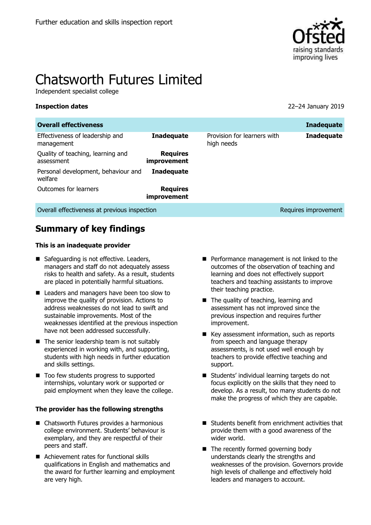

# Chatsworth Futures Limited

Independent specialist college

**Inspection dates** 22–24 January 2019

| <b>Overall effectiveness</b>                    |                                |                                           | <b>Inadequate</b>    |
|-------------------------------------------------|--------------------------------|-------------------------------------------|----------------------|
| Effectiveness of leadership and<br>management   | <b>Inadequate</b>              | Provision for learners with<br>high needs | <b>Inadequate</b>    |
| Quality of teaching, learning and<br>assessment | <b>Requires</b><br>improvement |                                           |                      |
| Personal development, behaviour and<br>welfare  | <b>Inadequate</b>              |                                           |                      |
| Outcomes for learners                           | <b>Requires</b><br>improvement |                                           |                      |
| Overall effectiveness at previous inspection    |                                |                                           | Requires improvement |

# **Summary of key findings**

#### **This is an inadequate provider**

- Safeguarding is not effective. Leaders, managers and staff do not adequately assess risks to health and safety. As a result, students are placed in potentially harmful situations.
- Leaders and managers have been too slow to improve the quality of provision. Actions to address weaknesses do not lead to swift and sustainable improvements. Most of the weaknesses identified at the previous inspection have not been addressed successfully.
- $\blacksquare$  The senior leadership team is not suitably experienced in working with, and supporting, students with high needs in further education and skills settings.
- Too few students progress to supported internships, voluntary work or supported or paid employment when they leave the college.

#### **The provider has the following strengths**

- Chatsworth Futures provides a harmonious college environment. Students' behaviour is exemplary, and they are respectful of their peers and staff.
- Achievement rates for functional skills qualifications in English and mathematics and the award for further learning and employment are very high.
- **Performance management is not linked to the** outcomes of the observation of teaching and learning and does not effectively support teachers and teaching assistants to improve their teaching practice.
- The quality of teaching, learning and assessment has not improved since the previous inspection and requires further improvement.
- Key assessment information, such as reports from speech and language therapy assessments, is not used well enough by teachers to provide effective teaching and support.
- Students' individual learning targets do not focus explicitly on the skills that they need to develop. As a result, too many students do not make the progress of which they are capable.
- Students benefit from enrichment activities that provide them with a good awareness of the wider world.
- The recently formed governing body understands clearly the strengths and weaknesses of the provision. Governors provide high levels of challenge and effectively hold leaders and managers to account.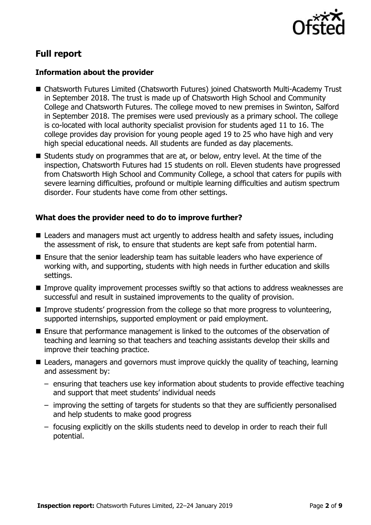

# **Full report**

### **Information about the provider**

- Chatsworth Futures Limited (Chatsworth Futures) joined Chatsworth Multi-Academy Trust in September 2018. The trust is made up of Chatsworth High School and Community College and Chatsworth Futures. The college moved to new premises in Swinton, Salford in September 2018. The premises were used previously as a primary school. The college is co-located with local authority specialist provision for students aged 11 to 16. The college provides day provision for young people aged 19 to 25 who have high and very high special educational needs. All students are funded as day placements.
- Students study on programmes that are at, or below, entry level. At the time of the inspection, Chatsworth Futures had 15 students on roll. Eleven students have progressed from Chatsworth High School and Community College, a school that caters for pupils with severe learning difficulties, profound or multiple learning difficulties and autism spectrum disorder. Four students have come from other settings.

### **What does the provider need to do to improve further?**

- Leaders and managers must act urgently to address health and safety issues, including the assessment of risk, to ensure that students are kept safe from potential harm.
- Ensure that the senior leadership team has suitable leaders who have experience of working with, and supporting, students with high needs in further education and skills settings.
- **IMPROVE QUALITY IMPROVEMENT PROCESSES SWIFTLY SO that actions to address weaknesses are** successful and result in sustained improvements to the quality of provision.
- Improve students' progression from the college so that more progress to volunteering, supported internships, supported employment or paid employment.
- Ensure that performance management is linked to the outcomes of the observation of teaching and learning so that teachers and teaching assistants develop their skills and improve their teaching practice.
- Leaders, managers and governors must improve quickly the quality of teaching, learning and assessment by:
	- ensuring that teachers use key information about students to provide effective teaching and support that meet students' individual needs
	- improving the setting of targets for students so that they are sufficiently personalised and help students to make good progress
	- focusing explicitly on the skills students need to develop in order to reach their full potential.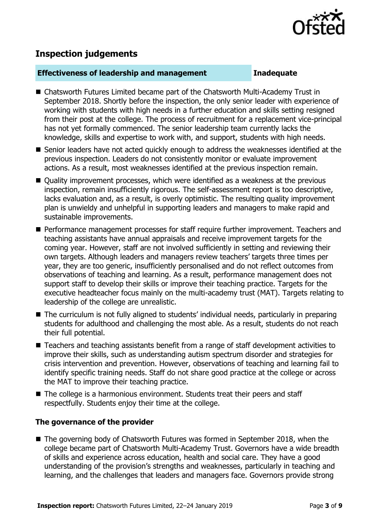

# **Inspection judgements**

#### **Effectiveness of leadership and management Inadequate**

- Chatsworth Futures Limited became part of the Chatsworth Multi-Academy Trust in September 2018. Shortly before the inspection, the only senior leader with experience of working with students with high needs in a further education and skills setting resigned from their post at the college. The process of recruitment for a replacement vice-principal has not yet formally commenced. The senior leadership team currently lacks the knowledge, skills and expertise to work with, and support, students with high needs.
- Senior leaders have not acted quickly enough to address the weaknesses identified at the previous inspection. Leaders do not consistently monitor or evaluate improvement actions. As a result, most weaknesses identified at the previous inspection remain.
- Quality improvement processes, which were identified as a weakness at the previous inspection, remain insufficiently rigorous. The self-assessment report is too descriptive, lacks evaluation and, as a result, is overly optimistic. The resulting quality improvement plan is unwieldy and unhelpful in supporting leaders and managers to make rapid and sustainable improvements.
- Performance management processes for staff require further improvement. Teachers and teaching assistants have annual appraisals and receive improvement targets for the coming year. However, staff are not involved sufficiently in setting and reviewing their own targets. Although leaders and managers review teachers' targets three times per year, they are too generic, insufficiently personalised and do not reflect outcomes from observations of teaching and learning. As a result, performance management does not support staff to develop their skills or improve their teaching practice. Targets for the executive headteacher focus mainly on the multi-academy trust (MAT). Targets relating to leadership of the college are unrealistic.
- The curriculum is not fully aligned to students' individual needs, particularly in preparing students for adulthood and challenging the most able. As a result, students do not reach their full potential.
- Teachers and teaching assistants benefit from a range of staff development activities to improve their skills, such as understanding autism spectrum disorder and strategies for crisis intervention and prevention. However, observations of teaching and learning fail to identify specific training needs. Staff do not share good practice at the college or across the MAT to improve their teaching practice.
- The college is a harmonious environment. Students treat their peers and staff respectfully. Students enjoy their time at the college.

#### **The governance of the provider**

■ The governing body of Chatsworth Futures was formed in September 2018, when the college became part of Chatsworth Multi-Academy Trust. Governors have a wide breadth of skills and experience across education, health and social care. They have a good understanding of the provision's strengths and weaknesses, particularly in teaching and learning, and the challenges that leaders and managers face. Governors provide strong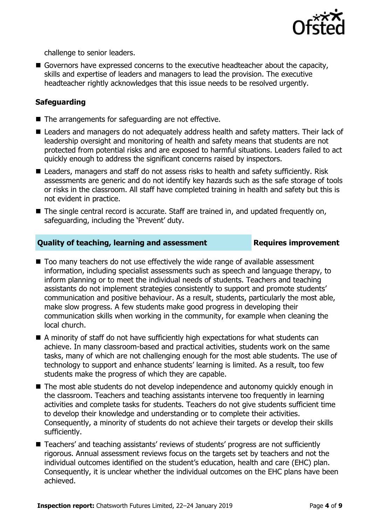

challenge to senior leaders.

Governors have expressed concerns to the executive headteacher about the capacity, skills and expertise of leaders and managers to lead the provision. The executive headteacher rightly acknowledges that this issue needs to be resolved urgently.

### **Safeguarding**

- The arrangements for safeguarding are not effective.
- Leaders and managers do not adequately address health and safety matters. Their lack of leadership oversight and monitoring of health and safety means that students are not protected from potential risks and are exposed to harmful situations. Leaders failed to act quickly enough to address the significant concerns raised by inspectors.
- Leaders, managers and staff do not assess risks to health and safety sufficiently. Risk assessments are generic and do not identify key hazards such as the safe storage of tools or risks in the classroom. All staff have completed training in health and safety but this is not evident in practice.
- The single central record is accurate. Staff are trained in, and updated frequently on, safeguarding, including the 'Prevent' duty.

### **Quality of teaching, learning and assessment Requires improvement**

- Too many teachers do not use effectively the wide range of available assessment information, including specialist assessments such as speech and language therapy, to inform planning or to meet the individual needs of students. Teachers and teaching assistants do not implement strategies consistently to support and promote students' communication and positive behaviour. As a result, students, particularly the most able, make slow progress. A few students make good progress in developing their communication skills when working in the community, for example when cleaning the local church.
- A minority of staff do not have sufficiently high expectations for what students can achieve. In many classroom-based and practical activities, students work on the same tasks, many of which are not challenging enough for the most able students. The use of technology to support and enhance students' learning is limited. As a result, too few students make the progress of which they are capable.
- The most able students do not develop independence and autonomy quickly enough in the classroom. Teachers and teaching assistants intervene too frequently in learning activities and complete tasks for students. Teachers do not give students sufficient time to develop their knowledge and understanding or to complete their activities. Consequently, a minority of students do not achieve their targets or develop their skills sufficiently.
- Teachers' and teaching assistants' reviews of students' progress are not sufficiently rigorous. Annual assessment reviews focus on the targets set by teachers and not the individual outcomes identified on the student's education, health and care (EHC) plan. Consequently, it is unclear whether the individual outcomes on the EHC plans have been achieved.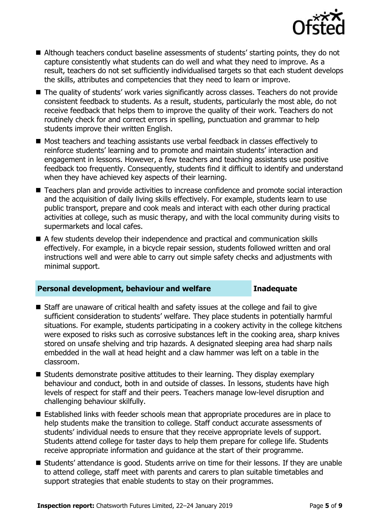

- Although teachers conduct baseline assessments of students' starting points, they do not capture consistently what students can do well and what they need to improve. As a result, teachers do not set sufficiently individualised targets so that each student develops the skills, attributes and competencies that they need to learn or improve.
- The quality of students' work varies significantly across classes. Teachers do not provide consistent feedback to students. As a result, students, particularly the most able, do not receive feedback that helps them to improve the quality of their work. Teachers do not routinely check for and correct errors in spelling, punctuation and grammar to help students improve their written English.
- Most teachers and teaching assistants use verbal feedback in classes effectively to reinforce students' learning and to promote and maintain students' interaction and engagement in lessons. However, a few teachers and teaching assistants use positive feedback too frequently. Consequently, students find it difficult to identify and understand when they have achieved key aspects of their learning.
- Teachers plan and provide activities to increase confidence and promote social interaction and the acquisition of daily living skills effectively. For example, students learn to use public transport, prepare and cook meals and interact with each other during practical activities at college, such as music therapy, and with the local community during visits to supermarkets and local cafes.
- A few students develop their independence and practical and communication skills effectively. For example, in a bicycle repair session, students followed written and oral instructions well and were able to carry out simple safety checks and adjustments with minimal support.

#### **Personal development, behaviour and welfare Inadequate**

- Staff are unaware of critical health and safety issues at the college and fail to give sufficient consideration to students' welfare. They place students in potentially harmful situations. For example, students participating in a cookery activity in the college kitchens were exposed to risks such as corrosive substances left in the cooking area, sharp knives stored on unsafe shelving and trip hazards. A designated sleeping area had sharp nails embedded in the wall at head height and a claw hammer was left on a table in the classroom.
- $\blacksquare$  Students demonstrate positive attitudes to their learning. They display exemplary behaviour and conduct, both in and outside of classes. In lessons, students have high levels of respect for staff and their peers. Teachers manage low-level disruption and challenging behaviour skilfully.
- Established links with feeder schools mean that appropriate procedures are in place to help students make the transition to college. Staff conduct accurate assessments of students' individual needs to ensure that they receive appropriate levels of support. Students attend college for taster days to help them prepare for college life. Students receive appropriate information and guidance at the start of their programme.
- Students' attendance is good. Students arrive on time for their lessons. If they are unable to attend college, staff meet with parents and carers to plan suitable timetables and support strategies that enable students to stay on their programmes.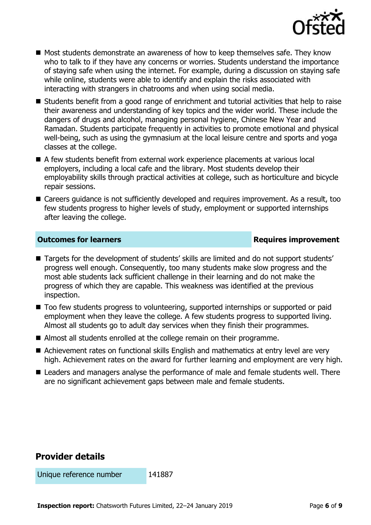

- Most students demonstrate an awareness of how to keep themselves safe. They know who to talk to if they have any concerns or worries. Students understand the importance of staying safe when using the internet. For example, during a discussion on staying safe while online, students were able to identify and explain the risks associated with interacting with strangers in chatrooms and when using social media.
- Students benefit from a good range of enrichment and tutorial activities that help to raise their awareness and understanding of key topics and the wider world. These include the dangers of drugs and alcohol, managing personal hygiene, Chinese New Year and Ramadan. Students participate frequently in activities to promote emotional and physical well-being, such as using the gymnasium at the local leisure centre and sports and yoga classes at the college.
- A few students benefit from external work experience placements at various local employers, including a local cafe and the library. Most students develop their employability skills through practical activities at college, such as horticulture and bicycle repair sessions.
- Careers guidance is not sufficiently developed and requires improvement. As a result, too few students progress to higher levels of study, employment or supported internships after leaving the college.

### **Outcomes for learners Requires improvement**

- Targets for the development of students' skills are limited and do not support students' progress well enough. Consequently, too many students make slow progress and the most able students lack sufficient challenge in their learning and do not make the progress of which they are capable. This weakness was identified at the previous inspection.
- Too few students progress to volunteering, supported internships or supported or paid employment when they leave the college. A few students progress to supported living. Almost all students go to adult day services when they finish their programmes.
- Almost all students enrolled at the college remain on their programme.
- Achievement rates on functional skills English and mathematics at entry level are very high. Achievement rates on the award for further learning and employment are very high.
- Leaders and managers analyse the performance of male and female students well. There are no significant achievement gaps between male and female students.

# **Provider details**

Unique reference number 141887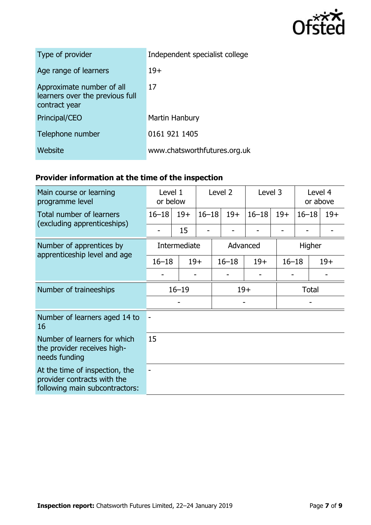

| Type of provider                                                              | Independent specialist college |
|-------------------------------------------------------------------------------|--------------------------------|
| Age range of learners                                                         | $19+$                          |
| Approximate number of all<br>learners over the previous full<br>contract year | 17                             |
| Principal/CEO                                                                 | Martin Hanbury                 |
| Telephone number                                                              | 0161 921 1405                  |
| Website                                                                       | www.chatsworthfutures.org.uk   |

# **Provider information at the time of the inspection**

| Main course or learning                                                                         | Level 1<br>or below |       | Level <sub>2</sub> |       | Level 3   |           | Level 4 |                    |       |
|-------------------------------------------------------------------------------------------------|---------------------|-------|--------------------|-------|-----------|-----------|---------|--------------------|-------|
| programme level                                                                                 |                     |       |                    |       |           |           |         | or above           |       |
| Total number of learners<br>(excluding apprenticeships)                                         | $16 - 18$           | $19+$ | $16 - 18$          |       | $19+$     | $16 - 18$ | $19+$   | $16 - 18$          | $19+$ |
|                                                                                                 |                     | 15    |                    |       |           |           |         |                    |       |
| Number of apprentices by<br>apprenticeship level and age                                        | Intermediate        |       |                    |       | Advanced  |           |         | Higher             |       |
|                                                                                                 | $16 - 18$           |       | $19+$              |       | $16 - 18$ | $19+$     |         | $19+$<br>$16 - 18$ |       |
|                                                                                                 |                     |       |                    |       |           |           |         |                    |       |
| Number of traineeships                                                                          | $16 - 19$           |       |                    | $19+$ |           |           |         | <b>Total</b>       |       |
|                                                                                                 |                     |       |                    |       |           |           |         |                    |       |
| Number of learners aged 14 to<br>16                                                             |                     |       |                    |       |           |           |         |                    |       |
| Number of learners for which<br>the provider receives high-<br>needs funding                    | 15                  |       |                    |       |           |           |         |                    |       |
| At the time of inspection, the<br>provider contracts with the<br>following main subcontractors: |                     |       |                    |       |           |           |         |                    |       |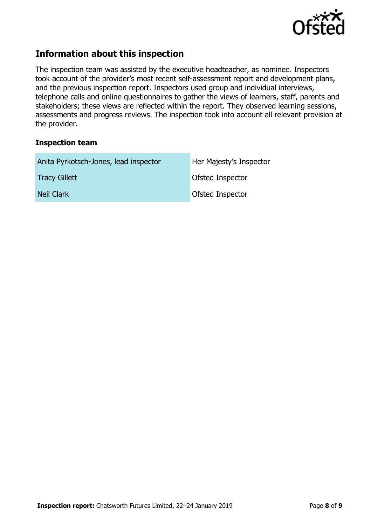

## **Information about this inspection**

The inspection team was assisted by the executive headteacher, as nominee. Inspectors took account of the provider's most recent self-assessment report and development plans, and the previous inspection report. Inspectors used group and individual interviews, telephone calls and online questionnaires to gather the views of learners, staff, parents and stakeholders; these views are reflected within the report. They observed learning sessions, assessments and progress reviews. The inspection took into account all relevant provision at the provider.

#### **Inspection team**

| Anita Pyrkotsch-Jones, lead inspector | Her Majesty's Inspector |
|---------------------------------------|-------------------------|
| <b>Tracy Gillett</b>                  | <b>Ofsted Inspector</b> |
| Neil Clark                            | Ofsted Inspector        |